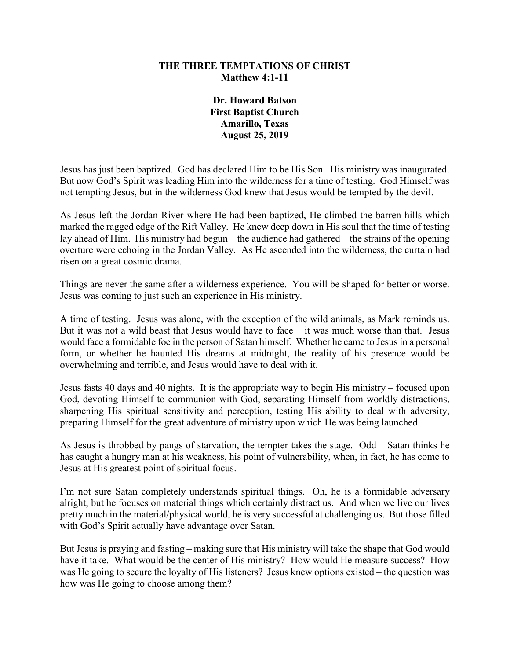### **THE THREE TEMPTATIONS OF CHRIST Matthew 4:1-11**

**Dr. Howard Batson First Baptist Church Amarillo, Texas August 25, 2019**

Jesus has just been baptized. God has declared Him to be His Son. His ministry was inaugurated. But now God's Spirit was leading Him into the wilderness for a time of testing. God Himself was not tempting Jesus, but in the wilderness God knew that Jesus would be tempted by the devil.

As Jesus left the Jordan River where He had been baptized, He climbed the barren hills which marked the ragged edge of the Rift Valley. He knew deep down in His soul that the time of testing lay ahead of Him. His ministry had begun – the audience had gathered – the strains of the opening overture were echoing in the Jordan Valley. As He ascended into the wilderness, the curtain had risen on a great cosmic drama.

Things are never the same after a wilderness experience. You will be shaped for better or worse. Jesus was coming to just such an experience in His ministry.

A time of testing. Jesus was alone, with the exception of the wild animals, as Mark reminds us. But it was not a wild beast that Jesus would have to face  $-$  it was much worse than that. Jesus would face a formidable foe in the person of Satan himself. Whether he came to Jesus in a personal form, or whether he haunted His dreams at midnight, the reality of his presence would be overwhelming and terrible, and Jesus would have to deal with it.

Jesus fasts 40 days and 40 nights. It is the appropriate way to begin His ministry – focused upon God, devoting Himself to communion with God, separating Himself from worldly distractions, sharpening His spiritual sensitivity and perception, testing His ability to deal with adversity, preparing Himself for the great adventure of ministry upon which He was being launched.

As Jesus is throbbed by pangs of starvation, the tempter takes the stage. Odd – Satan thinks he has caught a hungry man at his weakness, his point of vulnerability, when, in fact, he has come to Jesus at His greatest point of spiritual focus.

I'm not sure Satan completely understands spiritual things. Oh, he is a formidable adversary alright, but he focuses on material things which certainly distract us. And when we live our lives pretty much in the material/physical world, he is very successful at challenging us. But those filled with God's Spirit actually have advantage over Satan.

But Jesus is praying and fasting – making sure that His ministry will take the shape that God would have it take. What would be the center of His ministry? How would He measure success? How was He going to secure the loyalty of His listeners? Jesus knew options existed – the question was how was He going to choose among them?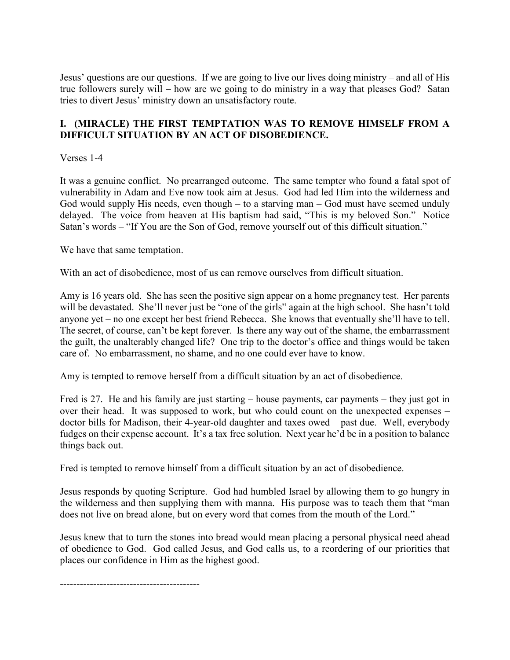Jesus' questions are our questions. If we are going to live our lives doing ministry – and all of His true followers surely will – how are we going to do ministry in a way that pleases God? Satan tries to divert Jesus' ministry down an unsatisfactory route.

## **I. (MIRACLE) THE FIRST TEMPTATION WAS TO REMOVE HIMSELF FROM A DIFFICULT SITUATION BY AN ACT OF DISOBEDIENCE.**

Verses 1-4

It was a genuine conflict. No prearranged outcome. The same tempter who found a fatal spot of vulnerability in Adam and Eve now took aim at Jesus. God had led Him into the wilderness and God would supply His needs, even though  $-$  to a starving man  $-$  God must have seemed unduly delayed. The voice from heaven at His baptism had said, "This is my beloved Son." Notice Satan's words – "If You are the Son of God, remove yourself out of this difficult situation."

We have that same temptation.

With an act of disobedience, most of us can remove ourselves from difficult situation.

Amy is 16 years old. She has seen the positive sign appear on a home pregnancy test. Her parents will be devastated. She'll never just be "one of the girls" again at the high school. She hasn't told anyone yet – no one except her best friend Rebecca. She knows that eventually she'll have to tell. The secret, of course, can't be kept forever. Is there any way out of the shame, the embarrassment the guilt, the unalterably changed life? One trip to the doctor's office and things would be taken care of. No embarrassment, no shame, and no one could ever have to know.

Amy is tempted to remove herself from a difficult situation by an act of disobedience.

Fred is 27. He and his family are just starting – house payments, car payments – they just got in over their head. It was supposed to work, but who could count on the unexpected expenses – doctor bills for Madison, their 4-year-old daughter and taxes owed – past due. Well, everybody fudges on their expense account. It's a tax free solution. Next year he'd be in a position to balance things back out.

Fred is tempted to remove himself from a difficult situation by an act of disobedience.

Jesus responds by quoting Scripture. God had humbled Israel by allowing them to go hungry in the wilderness and then supplying them with manna. His purpose was to teach them that "man does not live on bread alone, but on every word that comes from the mouth of the Lord."

Jesus knew that to turn the stones into bread would mean placing a personal physical need ahead of obedience to God. God called Jesus, and God calls us, to a reordering of our priorities that places our confidence in Him as the highest good.

------------------------------------------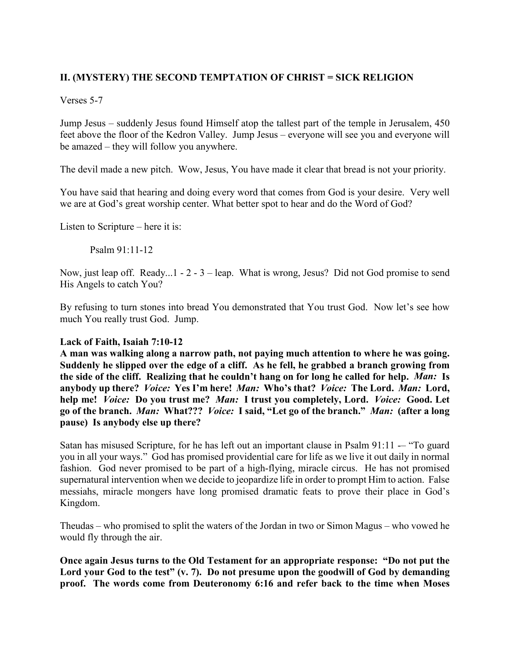## **II. (MYSTERY) THE SECOND TEMPTATION OF CHRIST = SICK RELIGION**

Verses 5-7

Jump Jesus – suddenly Jesus found Himself atop the tallest part of the temple in Jerusalem, 450 feet above the floor of the Kedron Valley. Jump Jesus – everyone will see you and everyone will be amazed – they will follow you anywhere.

The devil made a new pitch. Wow, Jesus, You have made it clear that bread is not your priority.

You have said that hearing and doing every word that comes from God is your desire. Very well we are at God's great worship center. What better spot to hear and do the Word of God?

Listen to Scripture – here it is:

Psalm 91:11-12

Now, just leap off. Ready...1 - 2 - 3 – leap. What is wrong, Jesus? Did not God promise to send His Angels to catch You?

By refusing to turn stones into bread You demonstrated that You trust God. Now let's see how much You really trust God. Jump.

#### **Lack of Faith, Isaiah 7:10-12**

**A man was walking along a narrow path, not paying much attention to where he was going. Suddenly he slipped over the edge of a cliff. As he fell, he grabbed a branch growing from the side of the cliff. Realizing that he couldn't hang on for long he called for help.** *Man:* **Is anybody up there?** *Voice:* **Yes I'm here!** *Man:* **Who's that?** *Voice:* **The Lord.** *Man:* **Lord, help me!** *Voice:* **Do you trust me?** *Man:* **I trust you completely, Lord.** *Voice:* **Good. Let go of the branch.** *Man:* **What???** *Voice:* **I said, "Let go of the branch."** *Man:* **(after a long pause) Is anybody else up there?** 

Satan has misused Scripture, for he has left out an important clause in Psalm 91:11 -- "To guard you in all your ways." God has promised providential care for life as we live it out daily in normal fashion. God never promised to be part of a high-flying, miracle circus. He has not promised supernatural intervention when we decide to jeopardize life in order to prompt Him to action. False messiahs, miracle mongers have long promised dramatic feats to prove their place in God's Kingdom.

Theudas – who promised to split the waters of the Jordan in two or Simon Magus – who vowed he would fly through the air.

**Once again Jesus turns to the Old Testament for an appropriate response: "Do not put the Lord your God to the test" (v. 7). Do not presume upon the goodwill of God by demanding proof. The words come from Deuteronomy 6:16 and refer back to the time when Moses**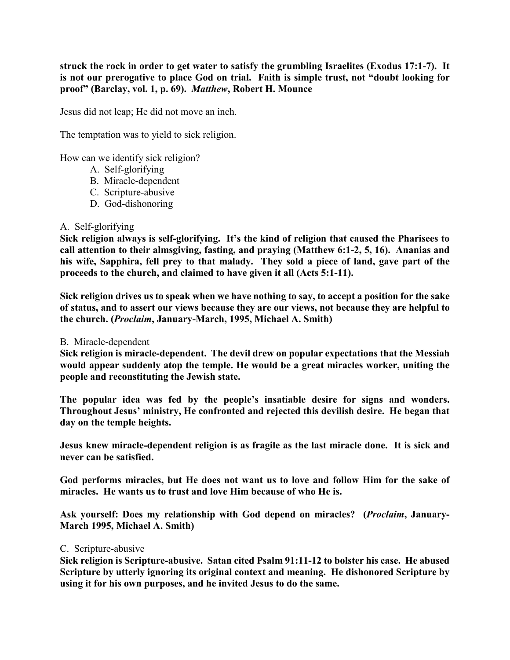**struck the rock in order to get water to satisfy the grumbling Israelites (Exodus 17:1-7). It is not our prerogative to place God on trial. Faith is simple trust, not "doubt looking for proof" (Barclay, vol. 1, p. 69).** *Matthew***, Robert H. Mounce**

Jesus did not leap; He did not move an inch.

The temptation was to yield to sick religion.

How can we identify sick religion?

- A. Self-glorifying
- B. Miracle-dependent
- C. Scripture-abusive
- D. God-dishonoring

#### A. Self-glorifying

**Sick religion always is self-glorifying. It's the kind of religion that caused the Pharisees to call attention to their almsgiving, fasting, and praying (Matthew 6:1-2, 5, 16). Ananias and his wife, Sapphira, fell prey to that malady. They sold a piece of land, gave part of the proceeds to the church, and claimed to have given it all (Acts 5:1-11).**

**Sick religion drives us to speak when we have nothing to say, to accept a position for the sake of status, and to assert our views because they are our views, not because they are helpful to the church. (***Proclaim***, January-March, 1995, Michael A. Smith)**

#### B. Miracle-dependent

**Sick religion is miracle-dependent. The devil drew on popular expectations that the Messiah would appear suddenly atop the temple. He would be a great miracles worker, uniting the people and reconstituting the Jewish state.**

**The popular idea was fed by the people's insatiable desire for signs and wonders. Throughout Jesus' ministry, He confronted and rejected this devilish desire. He began that day on the temple heights.**

**Jesus knew miracle-dependent religion is as fragile as the last miracle done. It is sick and never can be satisfied.**

**God performs miracles, but He does not want us to love and follow Him for the sake of miracles. He wants us to trust and love Him because of who He is.**

**Ask yourself: Does my relationship with God depend on miracles? (***Proclaim***, January-March 1995, Michael A. Smith)**

#### C. Scripture-abusive

**Sick religion is Scripture-abusive. Satan cited Psalm 91:11-12 to bolster his case. He abused Scripture by utterly ignoring its original context and meaning. He dishonored Scripture by using it for his own purposes, and he invited Jesus to do the same.**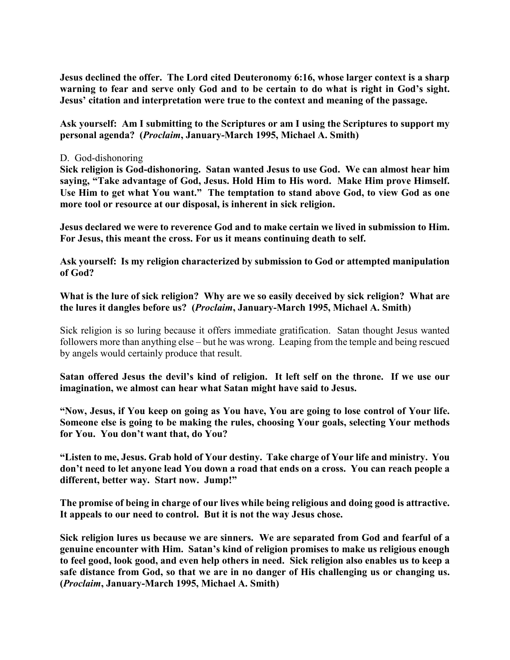**Jesus declined the offer. The Lord cited Deuteronomy 6:16, whose larger context is a sharp warning to fear and serve only God and to be certain to do what is right in God's sight. Jesus' citation and interpretation were true to the context and meaning of the passage.**

**Ask yourself: Am I submitting to the Scriptures or am I using the Scriptures to support my personal agenda? (***Proclaim***, January-March 1995, Michael A. Smith)**

#### D. God-dishonoring

**Sick religion is God-dishonoring. Satan wanted Jesus to use God. We can almost hear him saying, "Take advantage of God, Jesus. Hold Him to His word. Make Him prove Himself. Use Him to get what You want." The temptation to stand above God, to view God as one more tool or resource at our disposal, is inherent in sick religion.**

**Jesus declared we were to reverence God and to make certain we lived in submission to Him. For Jesus, this meant the cross. For us it means continuing death to self.**

**Ask yourself: Is my religion characterized by submission to God or attempted manipulation of God?**

**What is the lure of sick religion? Why are we so easily deceived by sick religion? What are the lures it dangles before us? (***Proclaim***, January-March 1995, Michael A. Smith)**

Sick religion is so luring because it offers immediate gratification. Satan thought Jesus wanted followers more than anything else – but he was wrong. Leaping from the temple and being rescued by angels would certainly produce that result.

**Satan offered Jesus the devil's kind of religion. It left self on the throne. If we use our imagination, we almost can hear what Satan might have said to Jesus.**

**"Now, Jesus, if You keep on going as You have, You are going to lose control of Your life. Someone else is going to be making the rules, choosing Your goals, selecting Your methods for You. You don't want that, do You?**

**"Listen to me, Jesus. Grab hold of Your destiny. Take charge of Your life and ministry. You don't need to let anyone lead You down a road that ends on a cross. You can reach people a different, better way. Start now. Jump!"**

**The promise of being in charge of our lives while being religious and doing good is attractive. It appeals to our need to control. But it is not the way Jesus chose.**

**Sick religion lures us because we are sinners. We are separated from God and fearful of a genuine encounter with Him. Satan's kind of religion promises to make us religious enough to feel good, look good, and even help others in need. Sick religion also enables us to keep a safe distance from God, so that we are in no danger of His challenging us or changing us. (***Proclaim***, January-March 1995, Michael A. Smith)**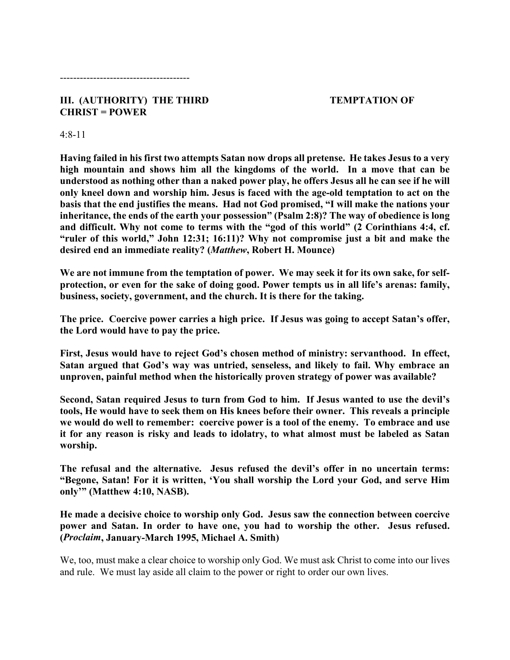# **III.** (AUTHORITY) THE THIRD **TEMPTATION OF CHRIST = POWER**

---------------------------------------

4:8-11

**Having failed in his first two attempts Satan now drops all pretense. He takes Jesus to a very high mountain and shows him all the kingdoms of the world. In a move that can be understood as nothing other than a naked power play, he offers Jesus all he can see if he will only kneel down and worship him. Jesus is faced with the age-old temptation to act on the basis that the end justifies the means. Had not God promised, "I will make the nations your inheritance, the ends of the earth your possession" (Psalm 2:8)? The way of obedience is long**  and difficult. Why not come to terms with the "god of this world" (2 Corinthians 4:4, cf. **"ruler of this world," John 12:31; 16:11)? Why not compromise just a bit and make the desired end an immediate reality? (***Matthew***, Robert H. Mounce)**

**We are not immune from the temptation of power. We may seek it for its own sake, for selfprotection, or even for the sake of doing good. Power tempts us in all life's arenas: family, business, society, government, and the church. It is there for the taking.**

**The price. Coercive power carries a high price. If Jesus was going to accept Satan's offer, the Lord would have to pay the price.**

**First, Jesus would have to reject God's chosen method of ministry: servanthood. In effect, Satan argued that God's way was untried, senseless, and likely to fail. Why embrace an unproven, painful method when the historically proven strategy of power was available?**

**Second, Satan required Jesus to turn from God to him. If Jesus wanted to use the devil's tools, He would have to seek them on His knees before their owner. This reveals a principle we would do well to remember: coercive power is a tool of the enemy. To embrace and use it for any reason is risky and leads to idolatry, to what almost must be labeled as Satan worship.**

**The refusal and the alternative. Jesus refused the devil's offer in no uncertain terms: "Begone, Satan! For it is written, 'You shall worship the Lord your God, and serve Him only'" (Matthew 4:10, NASB).**

**He made a decisive choice to worship only God. Jesus saw the connection between coercive power and Satan. In order to have one, you had to worship the other. Jesus refused. (***Proclaim***, January-March 1995, Michael A. Smith)**

We, too, must make a clear choice to worship only God. We must ask Christ to come into our lives and rule. We must lay aside all claim to the power or right to order our own lives.